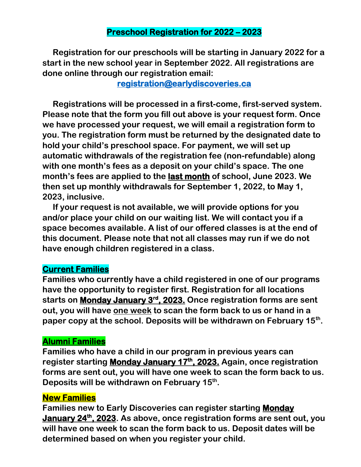#### **Preschool Registration for 2022 – 2023**

 **Registration for our preschools will be starting in January 2022 for a start in the new school year in September 2022. All registrations are done online through our registration email:**

**[registration@earlydiscoveries.ca](mailto:registration@earlydiscoveries.ca)** 

 **Registrations will be processed in a first-come, first-served system. Please note that the form you fill out above is your request form. Once we have processed your request, we will email a registration form to you. The registration form must be returned by the designated date to hold your child's preschool space. For payment, we will set up automatic withdrawals of the registration fee (non-refundable) along with one month's fees as a deposit on your child's space. The one month's fees are applied to the last month of school, June 2023. We then set up monthly withdrawals for September 1, 2022, to May 1, 2023, inclusive.** 

 **If your request is not available, we will provide options for you and/or place your child on our waiting list. We will contact you if a space becomes available. A list of our offered classes is at the end of this document. Please note that not all classes may run if we do not have enough children registered in a class.**

### **Current Families**

**Families who currently have a child registered in one of our programs have the opportunity to register first. Registration for all locations starts on Monday January 3rd, 2023. Once registration forms are sent out, you will have one week to scan the form back to us or hand in a paper copy at the school. Deposits will be withdrawn on February 15th .**

#### **Alumni Families**

**Families who have a child in our program in previous years can register starting Monday January 17th, 2023. Again, once registration forms are sent out, you will have one week to scan the form back to us. Deposits will be withdrawn on February 15th .**

#### **New Families**

**Families new to Early Discoveries can register starting Monday January 24th, 2023. As above, once registration forms are sent out, you will have one week to scan the form back to us. Deposit dates will be determined based on when you register your child.**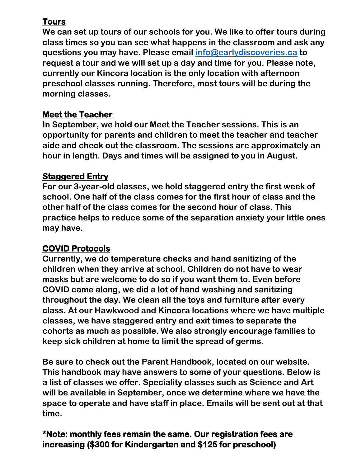# **Tours**

**We can set up tours of our schools for you. We like to offer tours during class times so you can see what happens in the classroom and ask any questions you may have. Please email [info@earlydiscoveries.ca](mailto:info@earlydiscoveries.ca) to request a tour and we will set up a day and time for you. Please note, currently our Kincora location is the only location with afternoon preschool classes running. Therefore, most tours will be during the morning classes.**

### **Meet the Teacher**

**In September, we hold our Meet the Teacher sessions. This is an opportunity for parents and children to meet the teacher and teacher aide and check out the classroom. The sessions are approximately an hour in length. Days and times will be assigned to you in August.**

### **Staggered Entry**

**For our 3-year-old classes, we hold staggered entry the first week of school. One half of the class comes for the first hour of class and the other half of the class comes for the second hour of class. This practice helps to reduce some of the separation anxiety your little ones may have.** 

# **COVID Protocols**

**Currently, we do temperature checks and hand sanitizing of the children when they arrive at school. Children do not have to wear masks but are welcome to do so if you want them to. Even before COVID came along, we did a lot of hand washing and sanitizing throughout the day. We clean all the toys and furniture after every class. At our Hawkwood and Kincora locations where we have multiple classes, we have staggered entry and exit times to separate the cohorts as much as possible. We also strongly encourage families to keep sick children at home to limit the spread of germs.**

**Be sure to check out the Parent Handbook, located on our website. This handbook may have answers to some of your questions. Below is a list of classes we offer. Speciality classes such as Science and Art will be available in September, once we determine where we have the space to operate and have staff in place. Emails will be sent out at that time.**

# **\*Note: monthly fees remain the same. Our registration fees are increasing (\$300 for Kindergarten and \$125 for preschool)**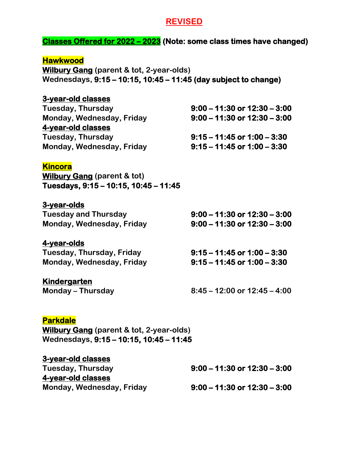#### **REVISED**

#### **Classes Offered for 2022 – 2023 (Note: some class times have changed)**

| <b>Hawkwood</b>                                                                                                        |                                  |  |
|------------------------------------------------------------------------------------------------------------------------|----------------------------------|--|
| <b>Wilbury Gang (parent &amp; tot, 2-year-olds)</b><br>Wednesdays, 9:15 – 10:15, 10:45 – 11:45 (day subject to change) |                                  |  |
|                                                                                                                        |                                  |  |
| 3-year-old classes                                                                                                     |                                  |  |
| Tuesday, Thursday                                                                                                      | $9:00 - 11:30$ or $12:30 - 3:00$ |  |
| Monday, Wednesday, Friday                                                                                              | $9:00 - 11:30$ or $12:30 - 3:00$ |  |
| 4-year-old classes                                                                                                     |                                  |  |
| Tuesday, Thursday                                                                                                      | $9:15 - 11:45$ or $1:00 - 3:30$  |  |
| Monday, Wednesday, Friday                                                                                              | $9:15 - 11:45$ or $1:00 - 3:30$  |  |
| <b>Kincora</b>                                                                                                         |                                  |  |
| <b>Wilbury Gang (parent &amp; tot)</b>                                                                                 |                                  |  |
| Tuesdays, 9:15 - 10:15, 10:45 - 11:45                                                                                  |                                  |  |
|                                                                                                                        |                                  |  |
| 3-year-olds                                                                                                            |                                  |  |
| <b>Tuesday and Thursday</b>                                                                                            | $9:00 - 11:30$ or $12:30 - 3:00$ |  |
| Monday, Wednesday, Friday                                                                                              | $9:00 - 11:30$ or $12:30 - 3:00$ |  |
| 4-year-olds                                                                                                            |                                  |  |
| Tuesday, Thursday, Friday                                                                                              | $9:15 - 11:45$ or $1:00 - 3:30$  |  |
| Monday, Wednesday, Friday                                                                                              | $9:15 - 11:45$ or $1:00 - 3:30$  |  |
|                                                                                                                        |                                  |  |
| <u>Kindergarten</u>                                                                                                    |                                  |  |
| <b>Monday – Thursday</b>                                                                                               | $8:45 - 12:00$ or $12:45 - 4:00$ |  |
|                                                                                                                        |                                  |  |
| <b>Parkdale</b>                                                                                                        |                                  |  |
| <b>Wilbury Gang (parent &amp; tot, 2-year-olds)</b>                                                                    |                                  |  |
| Wednesdays, 9:15 - 10:15, 10:45 - 11:45                                                                                |                                  |  |
|                                                                                                                        |                                  |  |
| <b>3-year-old classes</b>                                                                                              |                                  |  |
| <b>Tuesday, Thursday</b>                                                                                               | $9:00 - 11:30$ or $12:30 - 3:00$ |  |
| 4-year-old classes                                                                                                     |                                  |  |
| Monday, Wednesday, Friday                                                                                              | $9:00 - 11:30$ or $12:30 - 3:00$ |  |